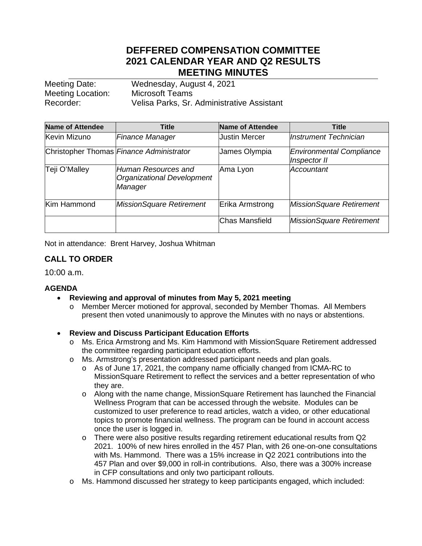# **DEFFERED COMPENSATION COMMITTEE 2021 CALENDAR YEAR AND Q2 RESULTS MEETING MINUTES**

Meeting Date: Wednesday, August 4, 2021 Meeting Location: Microsoft Teams Recorder: Velisa Parks, Sr. Administrative Assistant

| <b>Name of Attendee</b> | <b>Title</b>                                                 | Name of Attendee     | <b>Title</b>                                    |
|-------------------------|--------------------------------------------------------------|----------------------|-------------------------------------------------|
| Kevin Mizuno            | <b>Finance Manager</b>                                       | <b>Justin Mercer</b> | Instrument Technician                           |
|                         | Christopher Thomas Finance Administrator                     | James Olympia        | <b>Environmental Compliance</b><br>Inspector II |
| Teji O'Malley           | Human Resources and<br>Organizational Development<br>Manager | Ama Lyon             | Accountant                                      |
| Kim Hammond             | <b>MissionSquare Retirement</b>                              | Erika Armstrong      | MissionSquare Retirement                        |
|                         |                                                              | Chas Mansfield       | MissionSquare Retirement                        |

Not in attendance: Brent Harvey, Joshua Whitman

# **CALL TO ORDER**

10:00 a.m.

### **AGENDA**

- **Reviewing and approval of minutes from May 5, 2021 meeting**
	- o Member Mercer motioned for approval, seconded by Member Thomas. All Members present then voted unanimously to approve the Minutes with no nays or abstentions.
- **Review and Discuss Participant Education Efforts**
	- o Ms. Erica Armstrong and Ms. Kim Hammond with MissionSquare Retirement addressed the committee regarding participant education efforts.
	- o Ms. Armstrong's presentation addressed participant needs and plan goals.
		- o As of June 17, 2021, the company name officially changed from ICMA-RC to MissionSquare Retirement to reflect the services and a better representation of who they are.
		- o Along with the name change, MissionSquare Retirement has launched the Financial Wellness Program that can be accessed through the website. Modules can be customized to user preference to read articles, watch a video, or other educational topics to promote financial wellness. The program can be found in account access once the user is logged in.
		- o There were also positive results regarding retirement educational results from Q2 2021. 100% of new hires enrolled in the 457 Plan, with 26 one-on-one consultations with Ms. Hammond. There was a 15% increase in Q2 2021 contributions into the 457 Plan and over \$9,000 in roll-in contributions. Also, there was a 300% increase in CFP consultations and only two participant rollouts.
	- o Ms. Hammond discussed her strategy to keep participants engaged, which included: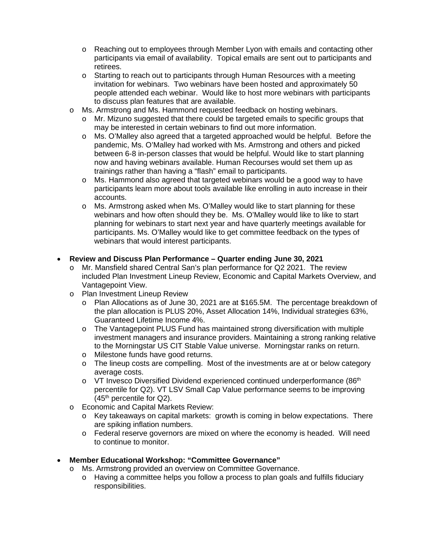- o Reaching out to employees through Member Lyon with emails and contacting other participants via email of availability. Topical emails are sent out to participants and retirees.
- o Starting to reach out to participants through Human Resources with a meeting invitation for webinars. Two webinars have been hosted and approximately 50 people attended each webinar. Would like to host more webinars with participants to discuss plan features that are available.
- o Ms. Armstrong and Ms. Hammond requested feedback on hosting webinars.
	- o Mr. Mizuno suggested that there could be targeted emails to specific groups that may be interested in certain webinars to find out more information.
	- o Ms. O'Malley also agreed that a targeted approached would be helpful. Before the pandemic, Ms. O'Malley had worked with Ms. Armstrong and others and picked between 6-8 in-person classes that would be helpful. Would like to start planning now and having webinars available. Human Recourses would set them up as trainings rather than having a "flash" email to participants.
	- o Ms. Hammond also agreed that targeted webinars would be a good way to have participants learn more about tools available like enrolling in auto increase in their accounts.
	- o Ms. Armstrong asked when Ms. O'Malley would like to start planning for these webinars and how often should they be. Ms. O'Malley would like to like to start planning for webinars to start next year and have quarterly meetings available for participants. Ms. O'Malley would like to get committee feedback on the types of webinars that would interest participants.

### • **Review and Discuss Plan Performance – Quarter ending June 30, 2021**

- o Mr. Mansfield shared Central San's plan performance for Q2 2021. The review included Plan Investment Lineup Review, Economic and Capital Markets Overview, and Vantagepoint View.
- o Plan Investment Lineup Review
	- o Plan Allocations as of June 30, 2021 are at \$165.5M. The percentage breakdown of the plan allocation is PLUS 20%, Asset Allocation 14%, Individual strategies 63%, Guaranteed Lifetime Income 4%.
	- o The Vantagepoint PLUS Fund has maintained strong diversification with multiple investment managers and insurance providers. Maintaining a strong ranking relative to the Morningstar US CIT Stable Value universe. Morningstar ranks on return.
	- o Milestone funds have good returns.
	- $\circ$  The lineup costs are compelling. Most of the investments are at or below category average costs.
	- $\circ$  VT Invesco Diversified Dividend experienced continued underperformance (86<sup>th</sup>) percentile for Q2). VT LSV Small Cap Value performance seems to be improving  $(45<sup>th</sup>$  percentile for Q2).
- o Economic and Capital Markets Review:
	- o Key takeaways on capital markets: growth is coming in below expectations. There are spiking inflation numbers.
	- o Federal reserve governors are mixed on where the economy is headed. Will need to continue to monitor.
- **Member Educational Workshop: "Committee Governance"**
	- o Ms. Armstrong provided an overview on Committee Governance.
		- o Having a committee helps you follow a process to plan goals and fulfills fiduciary responsibilities.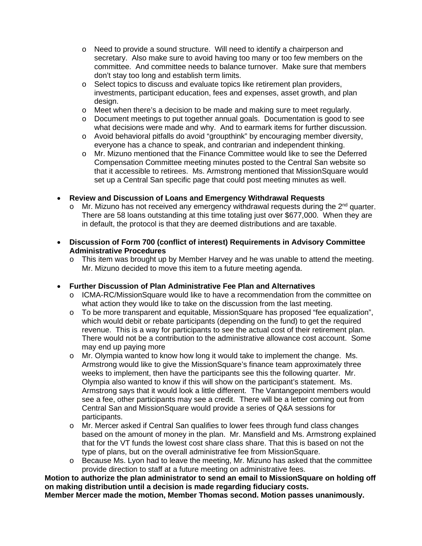- o Need to provide a sound structure. Will need to identify a chairperson and secretary. Also make sure to avoid having too many or too few members on the committee. And committee needs to balance turnover. Make sure that members don't stay too long and establish term limits.
- o Select topics to discuss and evaluate topics like retirement plan providers, investments, participant education, fees and expenses, asset growth, and plan design.
- o Meet when there's a decision to be made and making sure to meet regularly.
- o Document meetings to put together annual goals. Documentation is good to see what decisions were made and why. And to earmark items for further discussion.
- o Avoid behavioral pitfalls do avoid "groupthink" by encouraging member diversity, everyone has a chance to speak, and contrarian and independent thinking.
- o Mr. Mizuno mentioned that the Finance Committee would like to see the Deferred Compensation Committee meeting minutes posted to the Central San website so that it accessible to retirees. Ms. Armstrong mentioned that MissionSquare would set up a Central San specific page that could post meeting minutes as well.

# • **Review and Discussion of Loans and Emergency Withdrawal Requests**

- $\circ$  Mr. Mizuno has not received any emergency withdrawal requests during the 2<sup>nd</sup> quarter. There are 58 loans outstanding at this time totaling just over \$677,000. When they are in default, the protocol is that they are deemed distributions and are taxable.
- **Discussion of Form 700 (conflict of interest) Requirements in Advisory Committee Administrative Procedures**
	- $\circ$  This item was brought up by Member Harvey and he was unable to attend the meeting. Mr. Mizuno decided to move this item to a future meeting agenda.
- **Further Discussion of Plan Administrative Fee Plan and Alternatives**
	- o ICMA-RC/MissionSquare would like to have a recommendation from the committee on what action they would like to take on the discussion from the last meeting.
	- o To be more transparent and equitable, MissionSquare has proposed "fee equalization", which would debit or rebate participants (depending on the fund) to get the required revenue. This is a way for participants to see the actual cost of their retirement plan. There would not be a contribution to the administrative allowance cost account. Some may end up paying more
	- o Mr. Olympia wanted to know how long it would take to implement the change. Ms. Armstrong would like to give the MissionSquare's finance team approximately three weeks to implement, then have the participants see this the following quarter. Mr. Olympia also wanted to know if this will show on the participant's statement. Ms. Armstrong says that it would look a little different. The Vantangepoint members would see a fee, other participants may see a credit. There will be a letter coming out from Central San and MissionSquare would provide a series of Q&A sessions for participants.
	- o Mr. Mercer asked if Central San qualifies to lower fees through fund class changes based on the amount of money in the plan. Mr. Mansfield and Ms. Armstrong explained that for the VT funds the lowest cost share class share. That this is based on not the type of plans, but on the overall administrative fee from MissionSquare.
	- $\circ$  Because Ms. Lyon had to leave the meeting, Mr. Mizuno has asked that the committee provide direction to staff at a future meeting on administrative fees.

**Motion to authorize the plan administrator to send an email to MissionSquare on holding off on making distribution until a decision is made regarding fiduciary costs.**

**Member Mercer made the motion, Member Thomas second. Motion passes unanimously.**